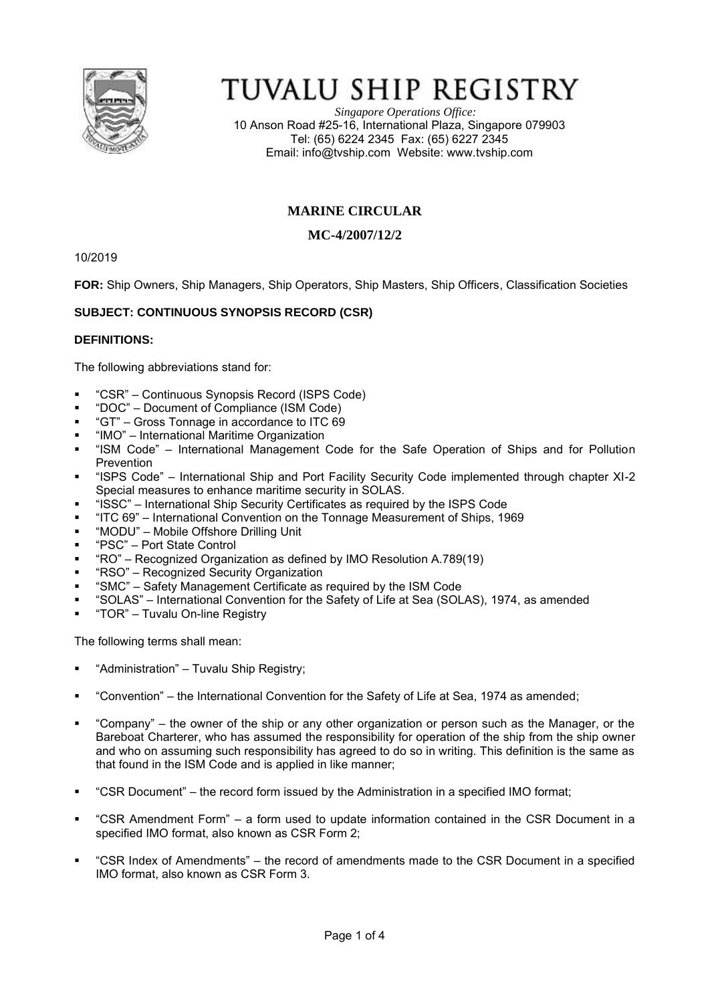

# TUVALU SHIP REGISTRY

*Singapore Operations Office:* 10 Anson Road #25-16, International Plaza, Singapore 079903 Tel: (65) 6224 2345 Fax: (65) 6227 2345 Email: [info@tvship.com](mailto:info@tvship.com) Website: [www.tvship.com](http://www.tvship.com/)

# **MARINE CIRCULAR**

# **MC-4/2007/12/2**

10/2019

**FOR:** Ship Owners, Ship Managers, Ship Operators, Ship Masters, Ship Officers, Classification Societies

## **SUBJECT: CONTINUOUS SYNOPSIS RECORD (CSR)**

## **DEFINITIONS:**

The following abbreviations stand for:

- "CSR" Continuous Synopsis Record (ISPS Code)
- "DOC" Document of Compliance (ISM Code)
- "GT" Gross Tonnage in accordance to ITC 69
- "IMO" International Maritime Organization
- "ISM Code" International Management Code for the Safe Operation of Ships and for Pollution Prevention
- "ISPS Code" International Ship and Port Facility Security Code implemented through chapter XI-2 Special measures to enhance maritime security in SOLAS.
- "ISSC" International Ship Security Certificates as required by the ISPS Code
- "ITC 69" International Convention on the Tonnage Measurement of Ships, 1969
- "MODU" Mobile Offshore Drilling Unit
- "PSC" Port State Control
- "RO" Recognized Organization as defined by IMO Resolution A.789(19)
- "RSO" Recognized Security Organization
- "SMC" Safety Management Certificate as required by the ISM Code
- "SOLAS" International Convention for the Safety of Life at Sea (SOLAS), 1974, as amended
- "TOR" Tuvalu On-line Registry

The following terms shall mean:

- "Administration" Tuvalu Ship Registry;
- "Convention" the International Convention for the Safety of Life at Sea, 1974 as amended;
- "Company" the owner of the ship or any other organization or person such as the Manager, or the Bareboat Charterer, who has assumed the responsibility for operation of the ship from the ship owner and who on assuming such responsibility has agreed to do so in writing. This definition is the same as that found in the ISM Code and is applied in like manner;
- "CSR Document" the record form issued by the Administration in a specified IMO format;
- "CSR Amendment Form" a form used to update information contained in the CSR Document in a specified IMO format, also known as CSR Form 2;
- "CSR Index of Amendments" the record of amendments made to the CSR Document in a specified IMO format, also known as CSR Form 3.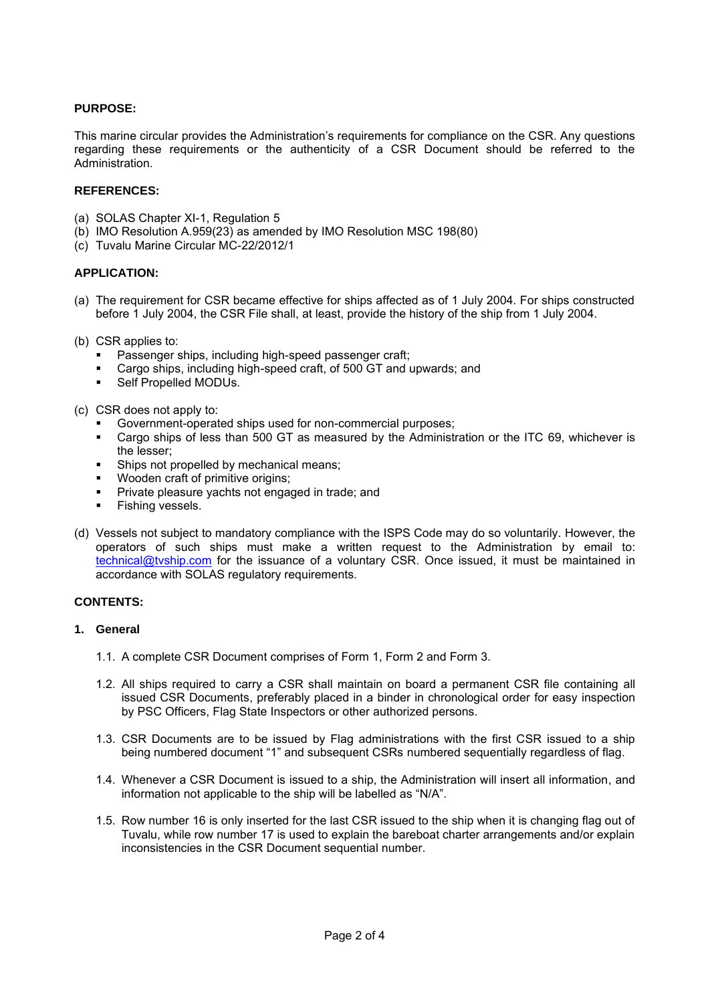## **PURPOSE:**

This marine circular provides the Administration's requirements for compliance on the CSR. Any questions regarding these requirements or the authenticity of a CSR Document should be referred to the Administration.

#### **REFERENCES:**

- (a) SOLAS Chapter XI-1, Regulation 5
- (b) IMO Resolution A.959(23) as amended by IMO Resolution MSC 198(80)
- (c) Tuvalu Marine Circular MC-22/2012/1

#### **APPLICATION:**

- (a) The requirement for CSR became effective for ships affected as of 1 July 2004. For ships constructed before 1 July 2004, the CSR File shall, at least, provide the history of the ship from 1 July 2004.
- (b) CSR applies to:
	- Passenger ships, including high-speed passenger craft;
	- Cargo ships, including high-speed craft, of 500 GT and upwards; and
	- Self Propelled MODUs.

(c) CSR does not apply to:

- Government-operated ships used for non-commercial purposes;<br>■ Cargo ships of less than 500 GT as measured by the Administr
- Cargo ships of less than 500 GT as measured by the Administration or the ITC 69, whichever is the lesser;
- Ships not propelled by mechanical means:
- Wooden craft of primitive origins:
- Private pleasure yachts not engaged in trade; and
- Fishing vessels.
- (d) Vessels not subject to mandatory compliance with the ISPS Code may do so voluntarily. However, the operators of such ships must make a written request to the Administration by email to: [technical@tvship.com](mailto:technical@tvship.com) for the issuance of a voluntary CSR. Once issued, it must be maintained in accordance with SOLAS regulatory requirements.

#### **CONTENTS:**

#### **1. General**

- 1.1. A complete CSR Document comprises of Form 1, Form 2 and Form 3.
- 1.2. All ships required to carry a CSR shall maintain on board a permanent CSR file containing all issued CSR Documents, preferably placed in a binder in chronological order for easy inspection by PSC Officers, Flag State Inspectors or other authorized persons.
- 1.3. CSR Documents are to be issued by Flag administrations with the first CSR issued to a ship being numbered document "1" and subsequent CSRs numbered sequentially regardless of flag.
- 1.4. Whenever a CSR Document is issued to a ship, the Administration will insert all information, and information not applicable to the ship will be labelled as "N/A".
- 1.5. Row number 16 is only inserted for the last CSR issued to the ship when it is changing flag out of Tuvalu, while row number 17 is used to explain the bareboat charter arrangements and/or explain inconsistencies in the CSR Document sequential number.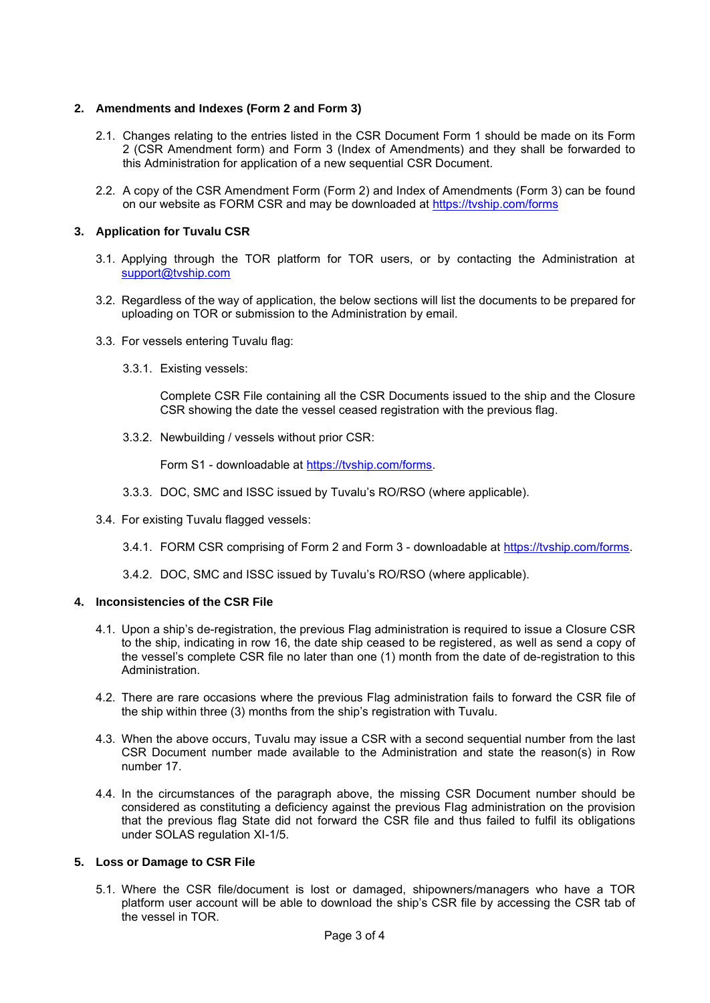## **2. Amendments and Indexes (Form 2 and Form 3)**

- 2.1. Changes relating to the entries listed in the CSR Document Form 1 should be made on its Form 2 (CSR Amendment form) and Form 3 (Index of Amendments) and they shall be forwarded to this Administration for application of a new sequential CSR Document.
- 2.2. A copy of the CSR Amendment Form (Form 2) and Index of Amendments (Form 3) can be found on our website as FORM CSR and may be downloaded at<https://tvship.com/forms>

## **3. Application for Tuvalu CSR**

- 3.1. Applying through the TOR platform for TOR users, or by contacting the Administration at [support@tvship.com](mailto:support@tvship.com)
- 3.2. Regardless of the way of application, the below sections will list the documents to be prepared for uploading on TOR or submission to the Administration by email.
- 3.3. For vessels entering Tuvalu flag:
	- 3.3.1. Existing vessels:

Complete CSR File containing all the CSR Documents issued to the ship and the Closure CSR showing the date the vessel ceased registration with the previous flag.

3.3.2. Newbuilding / vessels without prior CSR:

Form S1 - downloadable at [https://tvship.com/forms.](https://tvship.com/forms)

- 3.3.3. DOC, SMC and ISSC issued by Tuvalu's RO/RSO (where applicable).
- 3.4. For existing Tuvalu flagged vessels:
	- 3.4.1. FORM CSR comprising of Form 2 and Form 3 downloadable at [https://tvship.com/forms.](https://tvship.com/forms)
	- 3.4.2. DOC, SMC and ISSC issued by Tuvalu's RO/RSO (where applicable).

#### **4. Inconsistencies of the CSR File**

- 4.1. Upon a ship's de-registration, the previous Flag administration is required to issue a Closure CSR to the ship, indicating in row 16, the date ship ceased to be registered, as well as send a copy of the vessel's complete CSR file no later than one (1) month from the date of de-registration to this Administration.
- 4.2. There are rare occasions where the previous Flag administration fails to forward the CSR file of the ship within three (3) months from the ship's registration with Tuvalu.
- 4.3. When the above occurs, Tuvalu may issue a CSR with a second sequential number from the last CSR Document number made available to the Administration and state the reason(s) in Row number 17.
- 4.4. In the circumstances of the paragraph above, the missing CSR Document number should be considered as constituting a deficiency against the previous Flag administration on the provision that the previous flag State did not forward the CSR file and thus failed to fulfil its obligations under SOLAS regulation XI-1/5.

#### **5. Loss or Damage to CSR File**

5.1. Where the CSR file/document is lost or damaged, shipowners/managers who have a TOR platform user account will be able to download the ship's CSR file by accessing the CSR tab of the vessel in TOR.